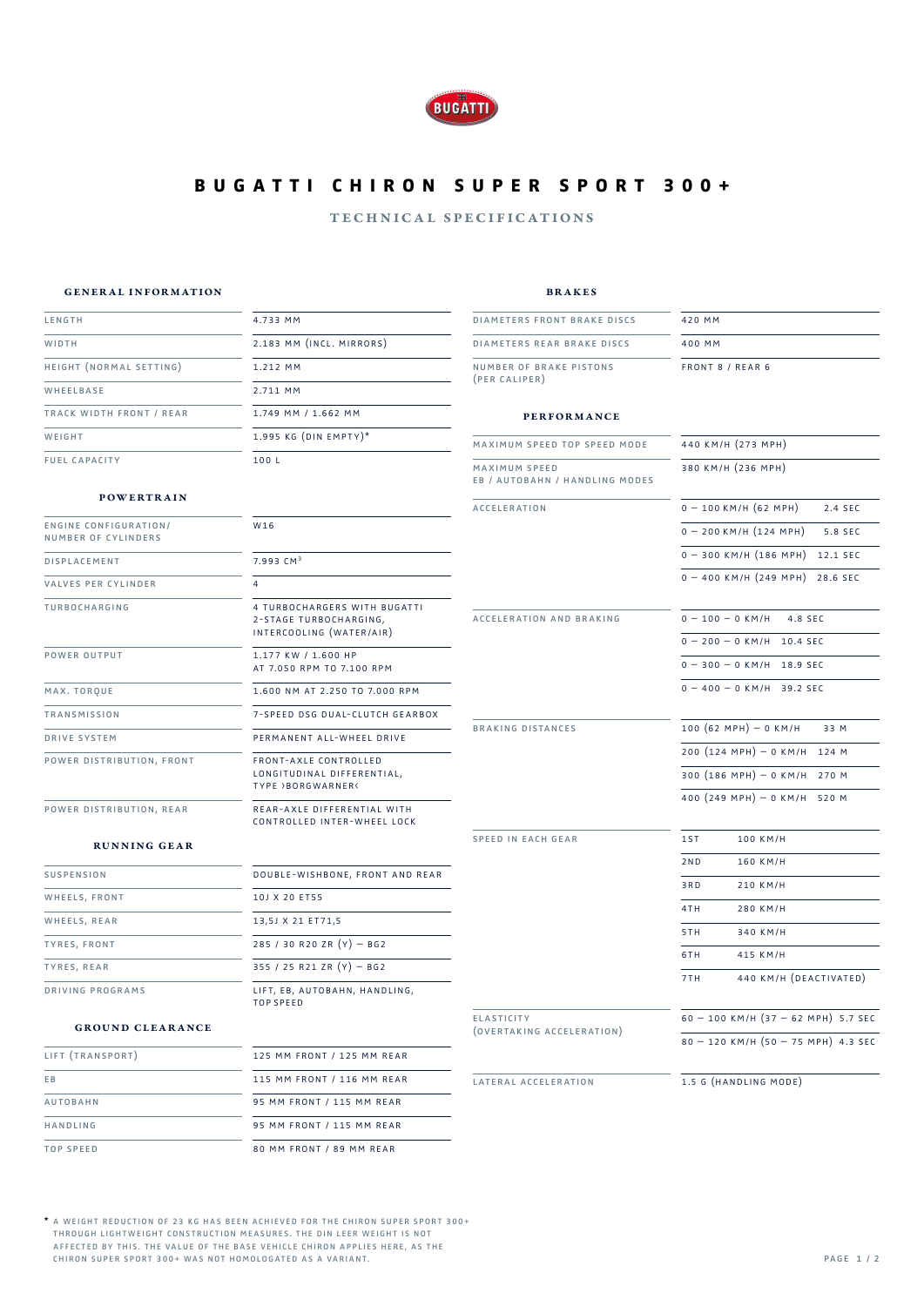

# **b u g a t t i c h i r o n s u p e r s p o r t BUGATTI CHIRON SUPER SPORT 300+**

### technical specifications

#### general information

brakes

| LENGTH                                              | 4.733 MM                                                                 | <b>DIAMETERS FRONT BRAKE DISCS</b>              | 420 MM                                         |
|-----------------------------------------------------|--------------------------------------------------------------------------|-------------------------------------------------|------------------------------------------------|
| WIDTH                                               | 2.183 MM (INCL. MIRRORS)                                                 | DIAMETERS REAR BRAKE DISCS                      | 400 MM                                         |
|                                                     |                                                                          |                                                 |                                                |
| HEIGHT (NORMAL SETTING)                             | 1.212 MM                                                                 | NUMBER OF BRAKE PISTONS<br>(PER CALIPER)        | FRONT 8 / REAR 6                               |
| WHEELBASE                                           | 2.711 MM                                                                 |                                                 |                                                |
| TRACK WIDTH FRONT / REAR                            | 1.749 MM / 1.662 MM                                                      | <b>PERFORMANCE</b>                              |                                                |
| WEIGHT                                              | 1.995 KG (DIN EMPTY)*                                                    | MAXIMUM SPEED TOP SPEED MODE                    | 440 KM/H (273 MPH)                             |
| <b>FUEL CAPACITY</b>                                | 100 L                                                                    | MAXIMUM SPEED<br>EB / AUTOBAHN / HANDLING MODES | 380 KM/H (236 MPH)                             |
| <b>POWERTRAIN</b>                                   |                                                                          | <b>ACCELERATION</b>                             | $0 - 100$ KM/H (62 MPH)<br>2.4 SEC             |
| <b>ENGINE CONFIGURATION/</b><br>NUMBER OF CYLINDERS | W16                                                                      |                                                 | $0 - 200$ KM/H $(124$ MPH)<br>5.8 SEC          |
| <b>DISPLACEMENT</b>                                 | $7.993$ CM <sup>3</sup>                                                  |                                                 | $0 - 300$ KM/H $(186$ MPH $)$ 12.1 SEC         |
| VALVES PER CYLINDER                                 | $\overline{4}$                                                           |                                                 | $0 - 400$ KM/H $(249$ MPH) 28.6 SEC            |
| TURBOCHARGING                                       | 4 TURBOCHARGERS WITH BUGATTI<br>2-STAGE TURBOCHARGING,                   | ACCELERATION AND BRAKING                        | $0 - 100 - 0$ KM/H 4.8 SEC                     |
|                                                     | INTERCOOLING (WATER/AIR)                                                 |                                                 | $0 - 200 - 0$ KM/H 10.4 SEC                    |
| POWER OUTPUT                                        | 1.177 KW / 1.600 HP<br>AT 7.050 RPM TO 7.100 RPM                         |                                                 | $0 - 300 - 0$ KM/H 18.9 SEC                    |
| MAX. TORQUE                                         | 1.600 NM AT 2.250 TO 7.000 RPM                                           |                                                 | $0 - 400 - 0$ KM/H 39.2 SEC                    |
| <b>TRANSMISSION</b>                                 | 7-SPEED DSG DUAL-CLUTCH GEARBOX                                          |                                                 |                                                |
| DRIVE SYSTEM                                        | PERMANENT ALL-WHEEL DRIVE                                                | <b>BRAKING DISTANCES</b>                        | $100 (62 MPH) - 0 KM/H$<br>33 M                |
| POWER DISTRIBUTION, FRONT                           | FRONT-AXLE CONTROLLED<br>LONGITUDINAL DIFFERENTIAL,<br>TYPE >BORGWARNER< |                                                 | $200 (124 MPH) - 0 KM/H$ 124 M                 |
|                                                     |                                                                          |                                                 | 300 $(186 \text{ MPH}) - 0 \text{ KM/H}$ 270 M |
| POWER DISTRIBUTION, REAR                            | REAR-AXLE DIFFERENTIAL WITH<br>CONTROLLED INTER-WHEEL LOCK               |                                                 | 400 $(249 \text{ MPH}) - 0 \text{ KM/H}$ 520 M |
| <b>RUNNING GEAR</b>                                 |                                                                          | SPEED IN EACH GEAR                              | 1ST<br>100 KM/H                                |
| SUSPENSION                                          | DOUBLE-WISHBONE, FRONT AND REAR                                          |                                                 | 2ND<br>160 KM/H                                |
|                                                     |                                                                          |                                                 | 3RD<br>210 KM/H                                |
| WHEELS, FRONT                                       | 10J X 20 ET55                                                            |                                                 | 4TH<br>280 KM/H                                |
| WHEELS, REAR                                        | 13,5J X 21 ET71,5                                                        |                                                 | 5TH<br>340 KM/H                                |
| <b>TYRES, FRONT</b>                                 | 285 / 30 R20 ZR $(Y)$ - BG2                                              |                                                 | 415 KM/H<br>6TH                                |
| TYRES, REAR                                         | 355 / 25 R21 ZR $(Y)$ - BG2                                              |                                                 | 440 KM/H (DEACTIVATED)<br>7TH                  |
| DRIVING PROGRAMS                                    | LIFT, EB, AUTOBAHN, HANDLING,<br><b>TOP SPEED</b>                        |                                                 |                                                |
| <b>GROUND CLEARANCE</b>                             |                                                                          | ELASTICITY<br>(OVERTAKING ACCELERATION)         | $60 - 100$ KM/H $(37 - 62$ MPH) 5.7 SEC        |
|                                                     |                                                                          |                                                 | $80 - 120$ KM/H $(50 - 75$ MPH) 4.3 SEC        |

| LIFT (TRANSPORT) | 125 MM FRONT / 125 MM REAR |
|------------------|----------------------------|
| E <sub>B</sub>   | 115 MM FRONT / 116 MM REAR |
| <b>AUTOBAHN</b>  | 95 MM FRONT / 115 MM REAR  |
| HANDLING         | 95 MM FRONT / 115 MM REAR  |
| <b>TOP SPEED</b> | 80 MM FRONT / 89 MM REAR   |

1.5 g (handling mode)

lateral acceleration

\* a weight reduction of 23 kg has been achieved for the chiron super sport **A WEIGHT REDUCTION OF 23 KG HAS BEEN ACHIEVED FOR THE CHIRON SUPER SPORT 300+** \* through lightweight construction measures. the din leer weight is not affected by this. the value of the base vehicle chiron applies here, as the CHIRON SUPER SPORT 300+ WAS NOT HOMOLOGATED AS A VAI **THROUGH LIGHTWEIGHT CONSTRUCTION MEASURES. THE DIN LEER WEIGHT IS NOT AFFECTED BY THIS. THE VALUE OF THE BASE VEHICLE CHIRON APPLIES HERE, AS THE CHIRON SUPER SPORT 300+ WAS NOT HOMOLOGATED AS A VARIANT.**